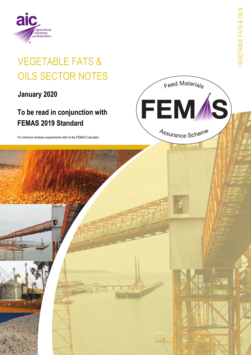

# **VEGETABLE FATS & OILS SECTOR NOTES**

January 2020

# To be read in conjunction with **FEMAS 2019 Standard**

For minimum analysis requirements refer to the FEMAS Calculator

**/EGETABLE FATS & OILS** 

Feed Materials

FEM /S

Assurance Scheme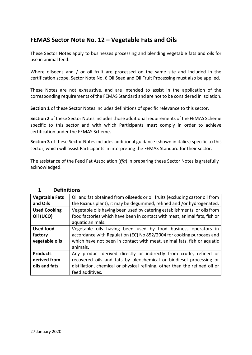### **FEMAS Sector Note No. 12 – Vegetable Fats and Oils**

These Sector Notes apply to businesses processing and blending vegetable fats and oils for use in animal feed.

Where oilseeds and / or oil fruit are processed on the same site and included in the certification scope, Sector Note No. 6 Oil Seed and Oil Fruit Processing must also be applied.

These Notes are not exhaustive, and are intended to assist in the application of the corresponding requirements of the FEMAS Standard and are not to be considered in isolation.

**Section 1** of these Sector Notes includes definitions of specific relevance to this sector.

**Section 2** of these Sector Notes includes those additional requirements of the FEMAS Scheme specific to this sector and with which Participants **must** comply in order to achieve certification under the FEMAS Scheme.

**Section 3** of these Sector Notes includes additional guidance (shown in italics) specific to this sector, which will assist Participants in interpreting the FEMAS Standard for their sector.

The assistance of the Feed Fat Association (*ffa*) in preparing these Sector Notes is gratefully acknowledged.

| <b>Vegetable Fats</b> | Oil and fat obtained from oilseeds or oil fruits (excluding castor oil from |  |
|-----------------------|-----------------------------------------------------------------------------|--|
| and Oils              | the Ricinus plant), it may be degummed, refined and /or hydrogenated.       |  |
| <b>Used Cooking</b>   | Vegetable oils having been used by catering establishments, or oils from    |  |
| Oil (UCO)             | food factories which have been in contact with meat, animal fats, fish or   |  |
|                       | aquatic animals.                                                            |  |
| <b>Used food</b>      | Vegetable oils having been used by food business operators in               |  |
| factory               | accordance with Regulation (EC) No 852/2004 for cooking purposes and        |  |
| vegetable oils        | which have not been in contact with meat, animal fats, fish or aquatic      |  |
|                       | animals.                                                                    |  |
| <b>Products</b>       | Any product derived directly or indirectly from crude, refined or           |  |
| derived from          | recovered oils and fats by oleochemical or biodiesel processing or          |  |
| oils and fats         | distillation, chemical or physical refining, other than the refined oil or  |  |
|                       | feed additives.                                                             |  |

#### **1 Definitions**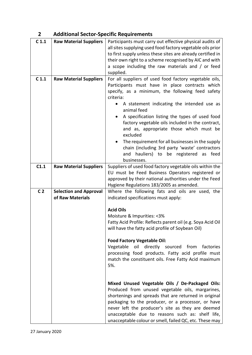# **2 Additional Sector-Specific Requirements**

| C <sub>1.1</sub> | <b>Raw Material Suppliers</b>                     | Participants must carry out effective physical audits of<br>all sites supplying used food factory vegetable oils prior<br>to first supply unless these sites are already certified in<br>their own right to a scheme recognised by AIC and with<br>a scope including the raw materials and / or feed<br>supplied.                                                                                                                                                                                                                                       |
|------------------|---------------------------------------------------|---------------------------------------------------------------------------------------------------------------------------------------------------------------------------------------------------------------------------------------------------------------------------------------------------------------------------------------------------------------------------------------------------------------------------------------------------------------------------------------------------------------------------------------------------------|
| C <sub>1.1</sub> | <b>Raw Material Suppliers</b>                     | For all suppliers of used food factory vegetable oils,<br>Participants must have in place contracts which<br>specify, as a minimum, the following feed safety<br>criteria:<br>A statement indicating the intended use as<br>animal feed<br>A specification listing the types of used food<br>factory vegetable oils included in the contract,<br>and as, appropriate those which must be<br>excluded<br>The requirement for all businesses in the supply<br>chain (including 3rd party 'waste' contractors<br>hauliers) to be registered as feed<br>and |
| C1.1             | <b>Raw Material Suppliers</b>                     | businesses.<br>Suppliers of used food factory vegetable oils within the<br>EU must be Feed Business Operators registered or<br>approved by their national authorities under the Feed<br>Hygiene Regulations 183/2005 as amended.                                                                                                                                                                                                                                                                                                                        |
| C <sub>2</sub>   | <b>Selection and Approval</b><br>of Raw Materials | Where the following fats and oils are used, the<br>indicated specifications must apply:                                                                                                                                                                                                                                                                                                                                                                                                                                                                 |
|                  |                                                   | <b>Acid Oils</b><br>Moisture & Impurities: <3%<br>Fatty Acid Profile: Reflects parent oil (e.g. Soya Acid Oil<br>will have the fatty acid profile of Soybean Oil)<br><b>Food Factory Vegetable Oil:</b><br>Vegetable oil directly sourced<br>from factories<br>processing food products. Fatty acid profile must<br>match the constituent oils. Free Fatty Acid maximum<br>5%.                                                                                                                                                                          |
|                  |                                                   | Mixed Unused Vegetable Oils / De-Packaged Oils:<br>Produced from unused vegetable oils, margarines,<br>shortenings and spreads that are returned in original<br>packaging to the producer, or a processor, or have<br>never left the producer's site as they are deemed<br>unacceptable due to reasons such as: shelf life,<br>unacceptable colour or smell, failed QC, etc. These may                                                                                                                                                                  |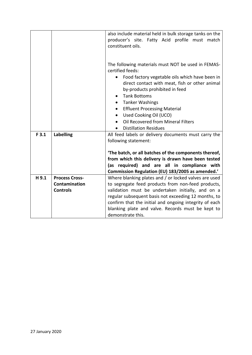|       |                                                           | also include material held in bulk storage tanks on the<br>producer's site. Fatty Acid profile must match<br>constituent oils.                                                                                                                                                                                                                                                                                                              |
|-------|-----------------------------------------------------------|---------------------------------------------------------------------------------------------------------------------------------------------------------------------------------------------------------------------------------------------------------------------------------------------------------------------------------------------------------------------------------------------------------------------------------------------|
|       |                                                           | The following materials must NOT be used in FEMAS-<br>certified feeds:<br>Food factory vegetable oils which have been in<br>direct contact with meat, fish or other animal<br>by-products prohibited in feed<br><b>Tank Bottoms</b><br>$\bullet$<br><b>Tanker Washings</b><br><b>Effluent Processing Material</b><br>$\bullet$<br>Used Cooking Oil (UCO)<br>$\bullet$<br>Oil Recovered from Mineral Filters<br><b>Distillation Residues</b> |
| F3.1  | <b>Labelling</b>                                          | All feed labels or delivery documents must carry the<br>following statement:<br>'The batch, or all batches of the components thereof,<br>from which this delivery is drawn have been tested<br>(as required) and are all in compliance with<br>Commission Regulation (EU) 183/2005 as amended.'                                                                                                                                             |
| H 9.1 | <b>Process Cross-</b><br>Contamination<br><b>Controls</b> | Where blanking plates and / or locked valves are used<br>to segregate feed products from non-feed products,<br>validation must be undertaken initially, and on a<br>regular subsequent basis not exceeding 12 months, to<br>confirm that the initial and ongoing integrity of each<br>blanking plate and valve. Records must be kept to<br>demonstrate this.                                                                                |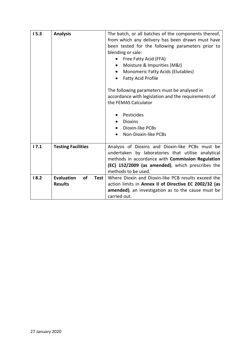| 15.3 | <b>Analysis</b>           | The batch, or all batches of the components thereof,  |
|------|---------------------------|-------------------------------------------------------|
|      |                           | from which any delivery has been drawn must have      |
|      |                           | been tested for the following parameters prior to     |
|      |                           | blending or sale:                                     |
|      |                           | • Free Fatty Acid (FFA)                               |
|      |                           |                                                       |
|      |                           | Moisture & Impurities (M&I)<br>$\bullet$              |
|      |                           | <b>Monomeric Fatty Acids (Elutables)</b><br>$\bullet$ |
|      |                           | <b>Fatty Acid Profile</b><br>$\bullet$                |
|      |                           | The following parameters must be analysed in          |
|      |                           | accordance with legislation and the requirements of   |
|      |                           | the FEMAS Calculator                                  |
|      |                           |                                                       |
|      |                           | Pesticides                                            |
|      |                           | <b>Dioxins</b><br>$\bullet$                           |
|      |                           | Dioxin-like PCBs                                      |
|      |                           | Non-Dioxin-like PCBs                                  |
| 17.1 | <b>Testing Facilities</b> | Analysis of Dioxins and Dioxin-like PCBs must be      |
|      |                           | undertaken by laboratories that utilise analytical    |
|      |                           | methods in accordance with Commission Regulation      |
|      |                           | (EC) 152/2009 (as amended), which prescribes the      |
|      |                           | methods to be used.                                   |
|      | <b>Evaluation</b><br>of   |                                                       |
| 18.2 | Test                      | Where Dioxin and Dioxin-like PCB results exceed the   |
|      | <b>Results</b>            | action limits in Annex II of Directive EC 2002/32 (as |
|      |                           | amended), an investigation as to the cause must be    |
|      |                           | carried out.                                          |